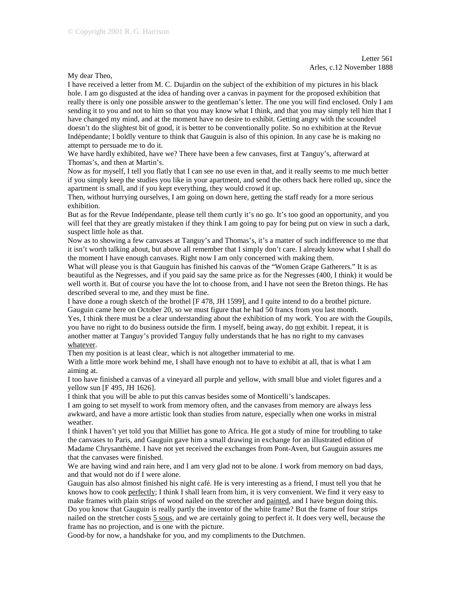My dear Theo,

I have received a letter from M. C. Dujardin on the subject of the exhibition of my pictures in his black hole. I am go disgusted at the idea of handing over a canvas in payment for the proposed exhibition that really there is only one possible answer to the gentleman's letter. The one you will find enclosed. Only I am sending it to you and not to him so that you may know what I think, and that you may simply tell him that I have changed my mind, and at the moment have no desire to exhibit. Getting angry with the scoundrel doesn't do the slightest bit of good, it is better to be conventionally polite. So no exhibition at the Revue Indépendante; I boldly venture to think that Gauguin is also of this opinion. In any case he is making no attempt to persuade me to do it.

We have hardly exhibited, have we? There have been a few canvases, first at Tanguy's, afterward at Thomas's, and then at Martin's.

Now as for myself, I tell you flatly that I can see no use even in that, and it really seems to me much better if you simply keep the studies you like in your apartment, and send the others back here rolled up, since the apartment is small, and if you kept everything, they would crowd it up.

Then, without hurrying ourselves, I am going on down here, getting the staff ready for a more serious exhibition.

But as for the Revue Indépendante, please tell them curtly it's no go. It's too good an opportunity, and you will feel that they are greatly mistaken if they think I am going to pay for being put on view in such a dark, suspect little hole as that.

Now as to showing a few canvases at Tanguy's and Thomas's, it's a matter of such indifference to me that it isn't worth talking about, but above all remember that I simply don't care. I already know what I shall do the moment I have enough canvases. Right now I am only concerned with making them.

What will please you is that Gauguin has finished his canvas of the "Women Grape Gatherers." It is as beautiful as the Negresses, and if you paid say the same price as for the Negresses (400, I think) it would be well worth it. But of course you have the lot to choose from, and I have not seen the Breton things. He has described several to me, and they must be fine.

I have done a rough sketch of the brothel [F 478, JH 1599], and I quite intend to do a brothel picture. Gauguin came here on October 20, so we must figure that he had 50 francs from you last month.

Yes, I think there must be a clear understanding about the exhibition of my work. You are with the Goupils, you have no right to do business outside the firm. I myself, being away, do not exhibit. I repeat, it is another matter at Tanguy's provided Tanguy fully understands that he has no right to my canvases whatever.

Then my position is at least clear, which is not altogether immaterial to me.

With a little more work behind me, I shall have enough not to have to exhibit at all, that is what I am aiming at.

I too have finished a canvas of a vineyard all purple and yellow, with small blue and violet figures and a yellow sun [F 495, JH 1626].

I think that you will be able to put this canvas besides some of Monticelli's landscapes.

I am going to set myself to work from memory often, and the canvases from memory are always less awkward, and have a more artistic look than studies from nature, especially when one works in mistral weather.

I think I haven't yet told you that Milliet has gone to Africa. He got a study of mine for troubling to take the canvases to Paris, and Gauguin gave him a small drawing in exchange for an illustrated edition of Madame Chrysanthème. I have not yet received the exchanges from Pont-Aven, but Gauguin assures me that the canvases were finished.

We are having wind and rain here, and I am very glad not to be alone. I work from memory on bad days, and that would not do if I were alone.

Gauguin has also almost finished his night café. He is very interesting as a friend, I must tell you that he knows how to cook perfectly; I think I shall learn from him, it is very convenient. We find it very easy to make frames with plain strips of wood nailed on the stretcher and painted, and I have begun doing this. Do you know that Gauguin is really partly the inventor of the white frame? But the frame of four strips nailed on the stretcher costs 5 sous, and we are certainly going to perfect it. It does very well, because the frame has no projection, and is one with the picture.

Good-by for now, a handshake for you, and my compliments to the Dutchmen.